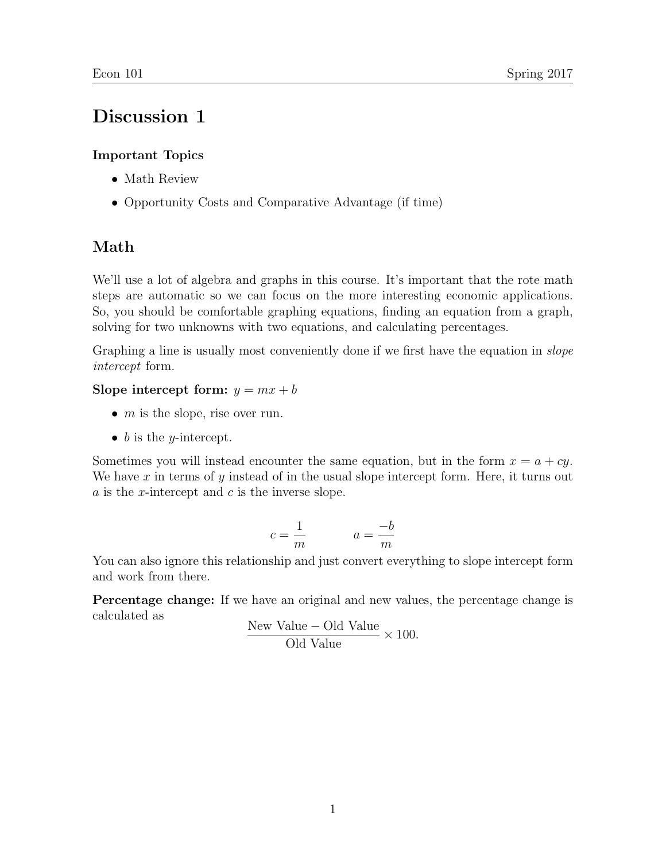# Discussion 1

### Important Topics

- Math Review
- Opportunity Costs and Comparative Advantage (if time)

## Math

We'll use a lot of algebra and graphs in this course. It's important that the rote math steps are automatic so we can focus on the more interesting economic applications. So, you should be comfortable graphing equations, finding an equation from a graph, solving for two unknowns with two equations, and calculating percentages.

Graphing a line is usually most conveniently done if we first have the equation in *slope* intercept form.

### Slope intercept form:  $y = mx + b$

- $m$  is the slope, rise over run.
- $\bullet$  b is the *y*-intercept.

Sometimes you will instead encounter the same equation, but in the form  $x = a + cy$ . We have  $x$  in terms of  $y$  instead of in the usual slope intercept form. Here, it turns out  $a$  is the *x*-intercept and  $c$  is the inverse slope.

$$
c = \frac{1}{m} \qquad \qquad a = \frac{-b}{m}
$$

You can also ignore this relationship and just convert everything to slope intercept form and work from there.

Percentage change: If we have an original and new values, the percentage change is calculated as

New Value – Old Value 
$$
\times
$$
 100. Old Value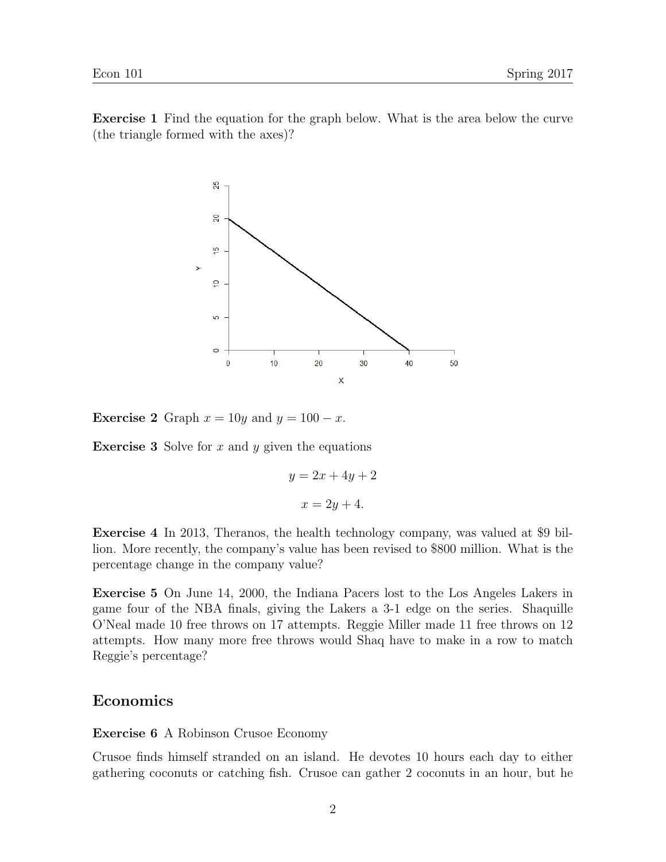Exercise 1 Find the equation for the graph below. What is the area below the curve (the triangle formed with the axes)?



**Exercise 2** Graph  $x = 10y$  and  $y = 100 - x$ .

**Exercise 3** Solve for  $x$  and  $y$  given the equations

$$
y = 2x + 4y + 2
$$

$$
x = 2y + 4.
$$

Exercise 4 In 2013, Theranos, the health technology company, was valued at \$9 billion. More recently, the company's value has been revised to \$800 million. What is the percentage change in the company value?

Exercise 5 On June 14, 2000, the Indiana Pacers lost to the Los Angeles Lakers in game four of the NBA finals, giving the Lakers a 3-1 edge on the series. Shaquille O'Neal made 10 free throws on 17 attempts. Reggie Miller made 11 free throws on 12 attempts. How many more free throws would Shaq have to make in a row to match Reggie's percentage?

#### Economics

Exercise 6 A Robinson Crusoe Economy

Crusoe finds himself stranded on an island. He devotes 10 hours each day to either gathering coconuts or catching fish. Crusoe can gather 2 coconuts in an hour, but he